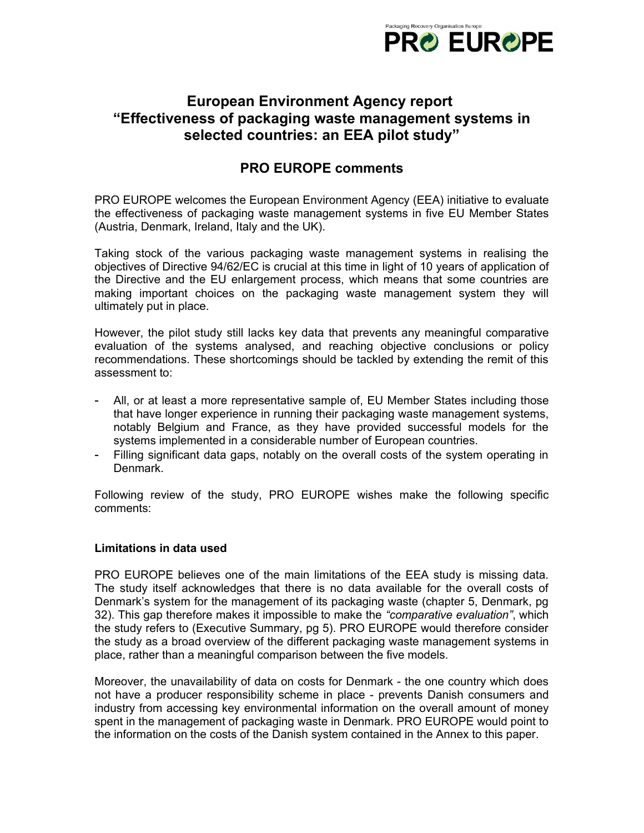

# **European Environment Agency report "Effectiveness of packaging waste management systems in selected countries: an EEA pilot study"**

## **PRO EUROPE comments**

PRO EUROPE welcomes the European Environment Agency (EEA) initiative to evaluate the effectiveness of packaging waste management systems in five EU Member States (Austria, Denmark, Ireland, Italy and the UK).

Taking stock of the various packaging waste management systems in realising the objectives of Directive 94/62/EC is crucial at this time in light of 10 years of application of the Directive and the EU enlargement process, which means that some countries are making important choices on the packaging waste management system they will ultimately put in place.

However, the pilot study still lacks key data that prevents any meaningful comparative evaluation of the systems analysed, and reaching objective conclusions or policy recommendations. These shortcomings should be tackled by extending the remit of this assessment to:

- All, or at least a more representative sample of, EU Member States including those that have longer experience in running their packaging waste management systems, notably Belgium and France, as they have provided successful models for the systems implemented in a considerable number of European countries.
- Filling significant data gaps, notably on the overall costs of the system operating in Denmark.

Following review of the study, PRO EUROPE wishes make the following specific comments:

### **Limitations in data used**

PRO EUROPE believes one of the main limitations of the EEA study is missing data. The study itself acknowledges that there is no data available for the overall costs of Denmark's system for the management of its packaging waste (chapter 5, Denmark, pg 32). This gap therefore makes it impossible to make the *"comparative evaluation"*, which the study refers to (Executive Summary, pg 5). PRO EUROPE would therefore consider the study as a broad overview of the different packaging waste management systems in place, rather than a meaningful comparison between the five models.

Moreover, the unavailability of data on costs for Denmark - the one country which does not have a producer responsibility scheme in place - prevents Danish consumers and industry from accessing key environmental information on the overall amount of money spent in the management of packaging waste in Denmark. PRO EUROPE would point to the information on the costs of the Danish system contained in the Annex to this paper.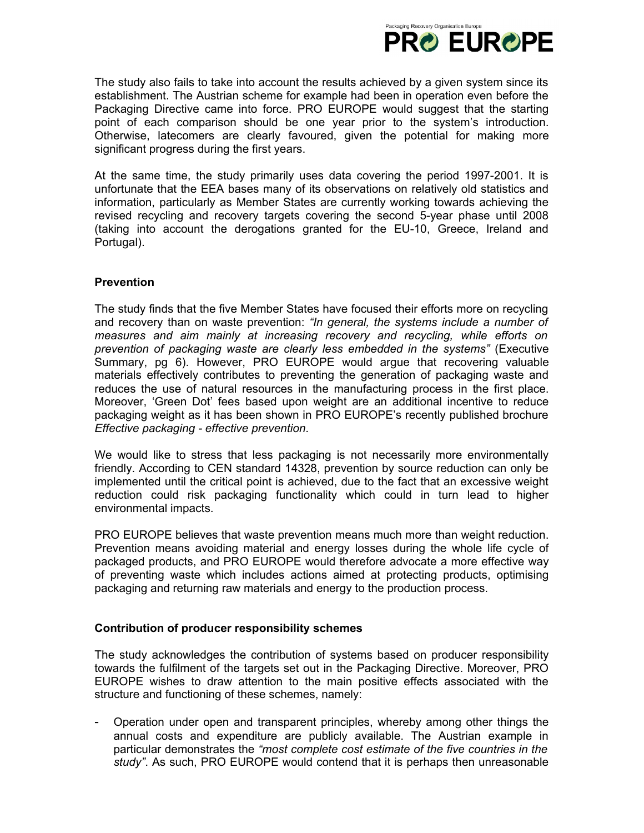

The study also fails to take into account the results achieved by a given system since its establishment. The Austrian scheme for example had been in operation even before the Packaging Directive came into force. PRO EUROPE would suggest that the starting point of each comparison should be one year prior to the system's introduction. Otherwise, latecomers are clearly favoured, given the potential for making more significant progress during the first years.

At the same time, the study primarily uses data covering the period 1997-2001. It is unfortunate that the EEA bases many of its observations on relatively old statistics and information, particularly as Member States are currently working towards achieving the revised recycling and recovery targets covering the second 5-year phase until 2008 (taking into account the derogations granted for the EU-10, Greece, Ireland and Portugal).

## **Prevention**

The study finds that the five Member States have focused their efforts more on recycling and recovery than on waste prevention: *"In general, the systems include a number of measures and aim mainly at increasing recovery and recycling, while efforts on prevention of packaging waste are clearly less embedded in the systems"* (Executive Summary, pg 6). However, PRO EUROPE would argue that recovering valuable materials effectively contributes to preventing the generation of packaging waste and reduces the use of natural resources in the manufacturing process in the first place. Moreover, 'Green Dot' fees based upon weight are an additional incentive to reduce packaging weight as it has been shown in PRO EUROPE's recently published brochure *Effective packaging - effective prevention*.

We would like to stress that less packaging is not necessarily more environmentally friendly. According to CEN standard 14328, prevention by source reduction can only be implemented until the critical point is achieved, due to the fact that an excessive weight reduction could risk packaging functionality which could in turn lead to higher environmental impacts.

PRO EUROPE believes that waste prevention means much more than weight reduction. Prevention means avoiding material and energy losses during the whole life cycle of packaged products, and PRO EUROPE would therefore advocate a more effective way of preventing waste which includes actions aimed at protecting products, optimising packaging and returning raw materials and energy to the production process.

### **Contribution of producer responsibility schemes**

The study acknowledges the contribution of systems based on producer responsibility towards the fulfilment of the targets set out in the Packaging Directive. Moreover, PRO EUROPE wishes to draw attention to the main positive effects associated with the structure and functioning of these schemes, namely:

- Operation under open and transparent principles, whereby among other things the annual costs and expenditure are publicly available. The Austrian example in particular demonstrates the *"most complete cost estimate of the five countries in the study"*. As such, PRO EUROPE would contend that it is perhaps then unreasonable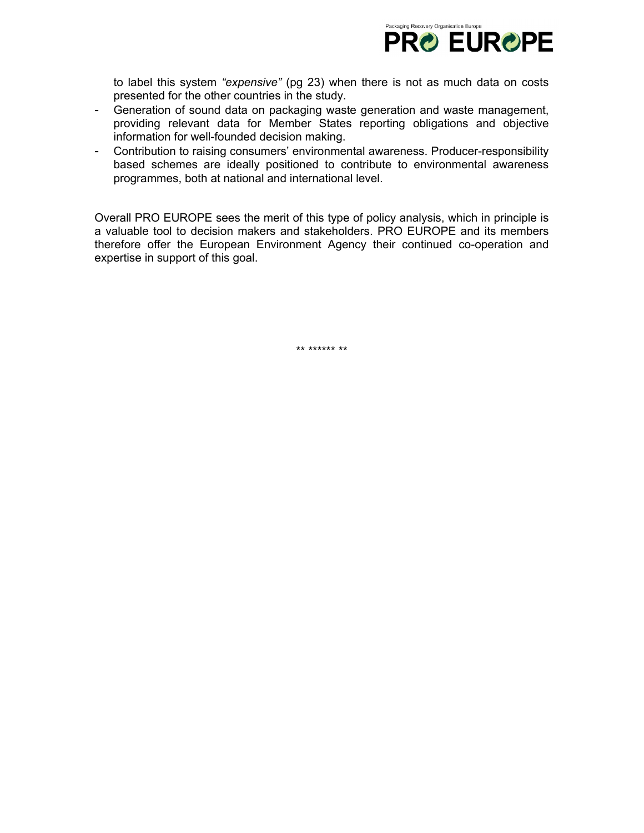

to label this system *"expensive"* (pg 23) when there is not as much data on costs presented for the other countries in the study.

- Generation of sound data on packaging waste generation and waste management, providing relevant data for Member States reporting obligations and objective information for well-founded decision making.
- Contribution to raising consumers' environmental awareness. Producer-responsibility based schemes are ideally positioned to contribute to environmental awareness programmes, both at national and international level.

Overall PRO EUROPE sees the merit of this type of policy analysis, which in principle is a valuable tool to decision makers and stakeholders. PRO EUROPE and its members therefore offer the European Environment Agency their continued co-operation and expertise in support of this goal.

\*\* \*\*\*\*\*\* \*\*